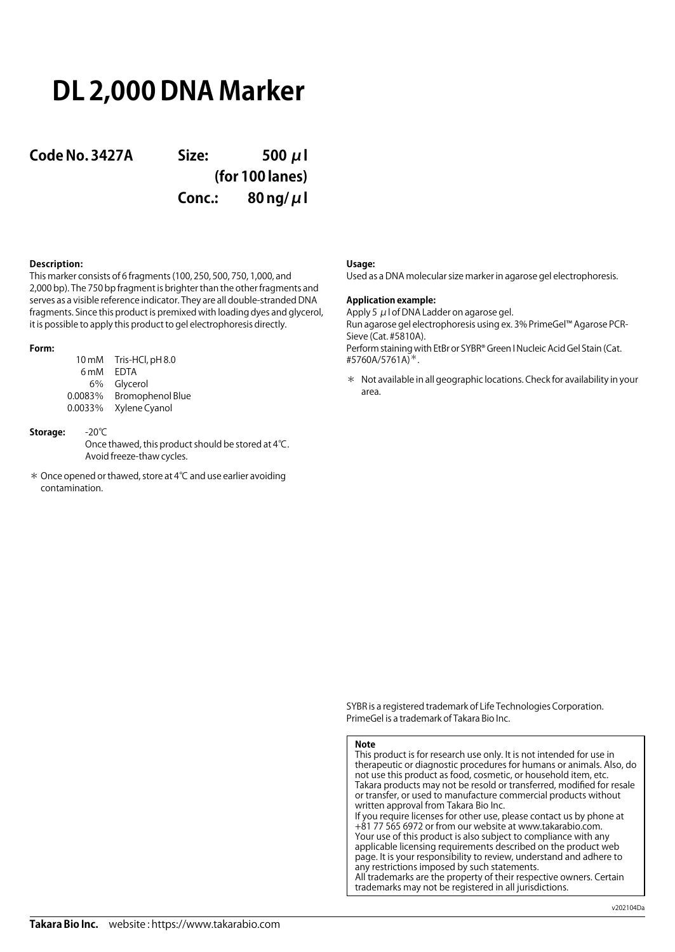# **DL 2,000 DNA Marker**

**Code No. 3427A Size: 500 μl (for 100 lanes) Conc.: 80 ng/μl**

## **Description:**

This marker consists of 6 fragments (100, 250, 500, 750, 1,000, and 2,000 bp). The 750 bp fragment is brighter than the other fragments and serves as a visible reference indicator. They are all double-stranded DNA fragments. Since this product is premixed with loading dyes and glycerol, it is possible to apply this product to gel electrophoresis directly.

### **Form:**

| 10 <sub>m</sub> M | Tris-HCl, pH 8.0        |
|-------------------|-------------------------|
| 6 <sub>m</sub> M  | FDTA                    |
| 6%                | Glycerol                |
| 0.0083%           | <b>Bromophenol Blue</b> |
| 0.0033%           | Xylene Cyanol           |

## **Storage:** -20℃

Once thawed, this product should be stored at 4℃. Avoid freeze-thaw cycles.

\* Once opened or thawed, store at 4℃ and use earlier avoiding contamination.

### **Usage:**

Used as a DNA molecular size marker in agarose gel electrophoresis.

## **Application example:**

Apply 5  $\mu$  I of DNA Ladder on agarose gel. Run agarose gel electrophoresis using ex. 3% PrimeGel™ Agarose PCR-Sieve (Cat. #5810A). Perform staining with EtBr or SYBR® Green I Nucleic Acid Gel Stain (Cat. #5760A/5761A)\*.

\* Not available in all geographic locations. Check for availability in your area.

SYBR is a registered trademark of Life Technologies Corporation. PrimeGel is a trademark of Takara Bio Inc.

#### **Note**

This product is for research use only. It is not intended for use in therapeutic or diagnostic procedures for humans or animals. Also, do not use this product as food, cosmetic, or household item, etc. Takara products may not be resold or transferred, modified for resale or transfer, or used to manufacture commercial products without written approval from Takara Bio Inc. If you require licenses for other use, please contact us by phone at +81 77 565 6972 or from our website at www.takarabio.com. Your use of this product is also subject to compliance with any applicable licensing requirements described on the product web page. It is your responsibility to review, understand and adhere to any restrictions imposed by such statements.

All trademarks are the property of their respective owners. Certain trademarks may not be registered in all jurisdictions.